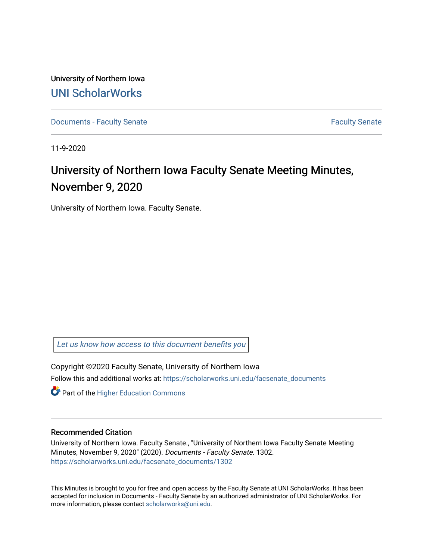University of Northern Iowa [UNI ScholarWorks](https://scholarworks.uni.edu/) 

[Documents - Faculty Senate](https://scholarworks.uni.edu/facsenate_documents) [Faculty Senate](https://scholarworks.uni.edu/facsenate) Faculty Senate

11-9-2020

# University of Northern Iowa Faculty Senate Meeting Minutes, November 9, 2020

University of Northern Iowa. Faculty Senate.

[Let us know how access to this document benefits you](https://scholarworks.uni.edu/feedback_form.html) 

Copyright ©2020 Faculty Senate, University of Northern Iowa Follow this and additional works at: [https://scholarworks.uni.edu/facsenate\\_documents](https://scholarworks.uni.edu/facsenate_documents?utm_source=scholarworks.uni.edu%2Ffacsenate_documents%2F1302&utm_medium=PDF&utm_campaign=PDFCoverPages) 

**Part of the Higher Education Commons** 

# Recommended Citation

University of Northern Iowa. Faculty Senate., "University of Northern Iowa Faculty Senate Meeting Minutes, November 9, 2020" (2020). Documents - Faculty Senate. 1302. [https://scholarworks.uni.edu/facsenate\\_documents/1302](https://scholarworks.uni.edu/facsenate_documents/1302?utm_source=scholarworks.uni.edu%2Ffacsenate_documents%2F1302&utm_medium=PDF&utm_campaign=PDFCoverPages) 

This Minutes is brought to you for free and open access by the Faculty Senate at UNI ScholarWorks. It has been accepted for inclusion in Documents - Faculty Senate by an authorized administrator of UNI ScholarWorks. For more information, please contact [scholarworks@uni.edu.](mailto:scholarworks@uni.edu)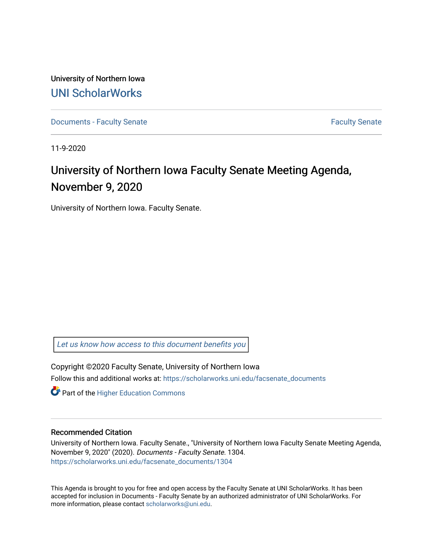University of Northern Iowa [UNI ScholarWorks](https://scholarworks.uni.edu/) 

[Documents - Faculty Senate](https://scholarworks.uni.edu/facsenate_documents) [Faculty Senate](https://scholarworks.uni.edu/facsenate) Faculty Senate

11-9-2020

# University of Northern Iowa Faculty Senate Meeting Agenda, November 9, 2020

University of Northern Iowa. Faculty Senate.

[Let us know how access to this document benefits you](https://scholarworks.uni.edu/feedback_form.html) 

Copyright ©2020 Faculty Senate, University of Northern Iowa Follow this and additional works at: [https://scholarworks.uni.edu/facsenate\\_documents](https://scholarworks.uni.edu/facsenate_documents?utm_source=scholarworks.uni.edu%2Ffacsenate_documents%2F1304&utm_medium=PDF&utm_campaign=PDFCoverPages) 

**Part of the Higher Education Commons** 

# Recommended Citation

University of Northern Iowa. Faculty Senate., "University of Northern Iowa Faculty Senate Meeting Agenda, November 9, 2020" (2020). Documents - Faculty Senate. 1304. [https://scholarworks.uni.edu/facsenate\\_documents/1304](https://scholarworks.uni.edu/facsenate_documents/1304?utm_source=scholarworks.uni.edu%2Ffacsenate_documents%2F1304&utm_medium=PDF&utm_campaign=PDFCoverPages) 

This Agenda is brought to you for free and open access by the Faculty Senate at UNI ScholarWorks. It has been accepted for inclusion in Documents - Faculty Senate by an authorized administrator of UNI ScholarWorks. For more information, please contact [scholarworks@uni.edu.](mailto:scholarworks@uni.edu)